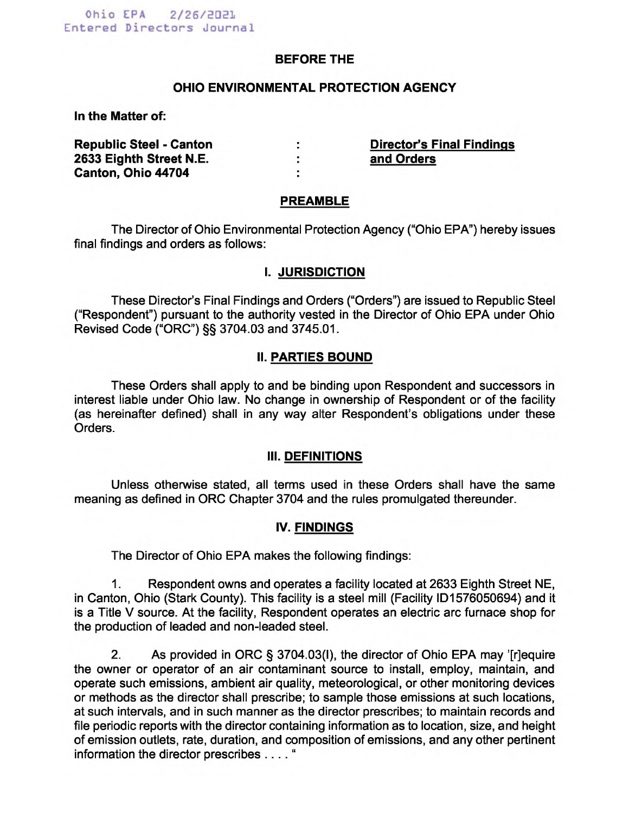### **BEFORE THE**

#### **OHIO ENVIRONMENTAL PROTECTION AGENCY**

**In the Matter of:** 

| <b>Republic Steel - Canton</b> | <b>Director's Final Findings</b> |
|--------------------------------|----------------------------------|
| 2633 Eighth Street N.E.        | and Orders                       |
| Canton, Ohio 44704             |                                  |

#### **PREAMBLE**

The Director of Ohio Environmental Protection Agency ("Ohio EPA") hereby issues final findings and orders as follows:

#### **I. JURISDICTION**

These Director's Final Findings and Orders ("Orders") are issued to Republic Steel ("Respondent") pursuant to the authority vested in the Director of Ohio EPA under Ohio Revised Code ("ORC") §§ 3704.03 and 3745.01.

### **II. PARTIES BOUND**

These Orders shall apply to and be binding upon Respondent and successors in interest liable under Ohio law. No change in ownership of Respondent or of the facility (as hereinafter defined) shall in any way alter Respondent's obligations under these Orders.

### **III. DEFINITIONS**

Unless otherwise stated, all terms used in these Orders shall have the same meaning as defined in ORC Chapter 3704 and the rules promulgated thereunder.

### **IV. FINDINGS**

The Director of Ohio EPA makes the following findings:

1. Respondent owns and operates a facility located at 2633 Eighth Street NE, in Canton, Ohio (Stark County). This facility is a steel mill (Facility ID1576050694) and it is a Title V source. At the facility, Respondent operates an electric arc furnace shop for the production of leaded and non-leaded steel.

2. As provided in ORC § 3704.03(I), the director of Ohio EPA may '[r]equire the owner or operator of an air contaminant source to install, employ, maintain, and operate such emissions, ambient air quality, meteorological, or other monitoring devices or methods as the director shall prescribe; to sample those emissions at such locations, at such intervals, and in such manner as the director prescribes; to maintain records and file periodic reports with the director containing information as to location, size, and height of emission outlets, rate, duration, and composition of emissions, and any other pertinent information the director prescribes . . . . "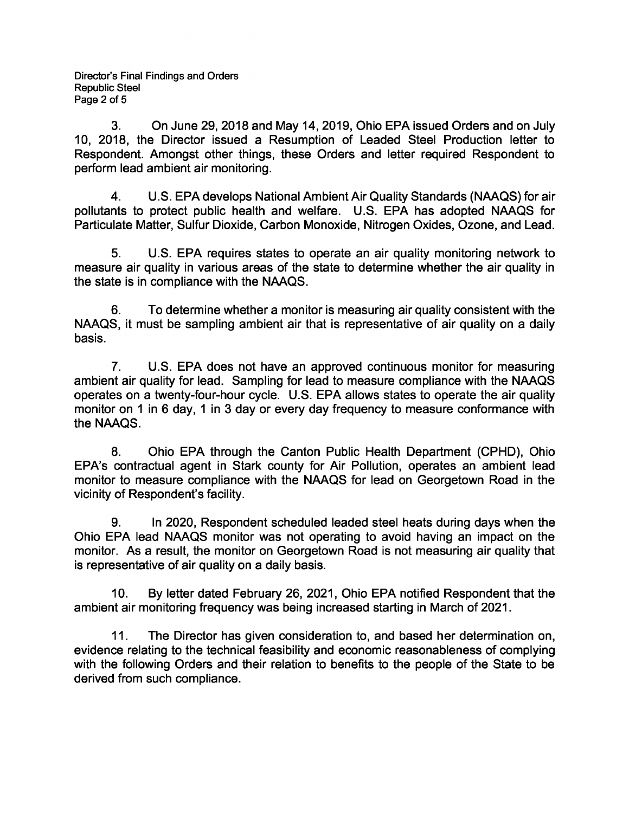3. On June 29, 2018 and May 14, 2019, Ohio EPA issued Orders and on July 10, 2018, the Director issued a Resumption of Leaded Steel Production letter to Respondent. Amongst other things, these Orders and letter required Respondent to perform lead ambient air monitoring.

4. U.S. EPA develops National Ambient Air Quality Standards (NAAQS) for air pollutants to protect public health and welfare. U.S. EPA has adopted NAAQS for Particulate Matter, Sulfur Dioxide, Carbon Monoxide, Nitrogen Oxides, Ozone, and Lead.

5. U.S. EPA requires states to operate an air quality monitoring network to measure air quality in various areas of the state to determine whether the air quality in the state is in compliance with the NAAQS.

6. To determine whether a monitor is measuring air quality consistent with the NAAQS, it must be sampling ambient air that is representative of air quality on a daily basis.

7. U.S. EPA does not have an approved continuous monitor for measuring ambient air quality for lead. Sampling for lead to measure compliance with the NAAQS operates on a twenty-four-hour cycle. U.S. EPA allows states to operate the air quality monitor on 1 in 6 day, 1 in 3 day or every day frequency to measure conformance with the NAAQS.

8. Ohio EPA through the Canton Public Health Department (CPHD), Ohio EPA's contractual agent in Stark county for Air Pollution, operates an ambient lead monitor to measure compliance with the NAAQS for lead on Georgetown Road in the vicinity of Respondent's facility.

9. In 2020, Respondent scheduled leaded steel heats during days when the Ohio EPA lead NAAQS monitor was not operating to avoid having an impact on the monitor. As a result, the monitor on Georgetown Road is not measuring air quality that is representative of air quality on a daily basis.

10. By letter dated February 26, 2021, Ohio EPA notified Respondent that the ambient air monitoring frequency was being increased starting in March of 2021.

11. The Director has given consideration to, and based her determination on, evidence relating to the technical feasibility and economic reasonableness of complying with the following Orders and their relation to benefits to the people of the State to be derived from such compliance.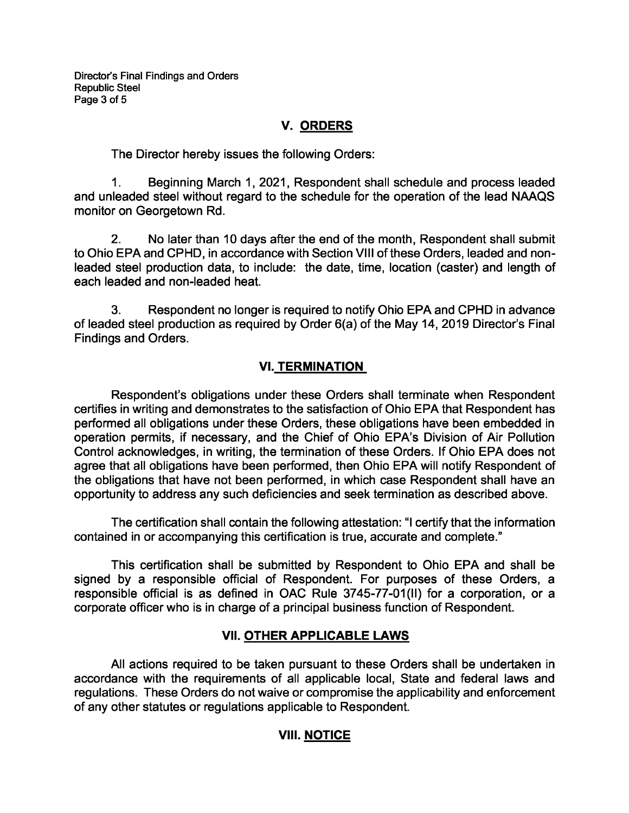## **V. ORDERS**

The Director hereby issues the following Orders:

1. Beginning March 1, 2021, Respondent shall schedule and process leaded and unleaded steel without regard to the schedule for the operation of the lead NAAQS monitor on Georgetown Rd.

2. No later than 10 days after the end of the month, Respondent shall submit to Ohio EPA and CPHD, in accordance with Section VIII of these Orders, leaded and nonleaded steel production data, to include: the date, time, location (caster) and length of each leaded and non-leaded heat.

3. Respondent no longer is required to notify Ohio EPA and CPHD in advance of leaded steel production as required by Order 6(a) of the May 14, 2019 Director's Final Findings and Orders.

## **VI. TERMINATION**

Respondent's obligations under these Orders shall terminate when Respondent certifies in writing and demonstrates to the satisfaction of Ohio EPA that Respondent has performed all obligations under these Orders, these obligations have been embedded in operation permits, if necessary, and the Chief of Ohio EPA's Division of Air Pollution Control acknowledges, in writing, the termination of these Orders. If Ohio EPA does not agree that all obligations have been performed, then Ohio EPA will notify Respondent of the obligations that have not been performed, in which case Respondent shall have an opportunity to address any such deficiencies and seek termination as described above.

The certification shall contain the following attestation: "I certify that the information contained in or accompanying this certification is true, accurate and complete."

This certification shall be submitted by Respondent to Ohio EPA and shall be signed by a responsible official of Respondent. For purposes of these Orders, a responsible official is as defined in OAC Rule 3745-77-01(II) for a corporation, or a corporate officer who is in charge of a principal business function of Respondent.

# **VII. OTHER APPLICABLE LAWS**

All actions required to be taken pursuant to these Orders shall be undertaken in accordance with the requirements of all applicable local, State and federal laws and regulations. These Orders do not waive or compromise the applicability and enforcement of any other statutes or regulations applicable to Respondent.

# **VIII. NOTICE**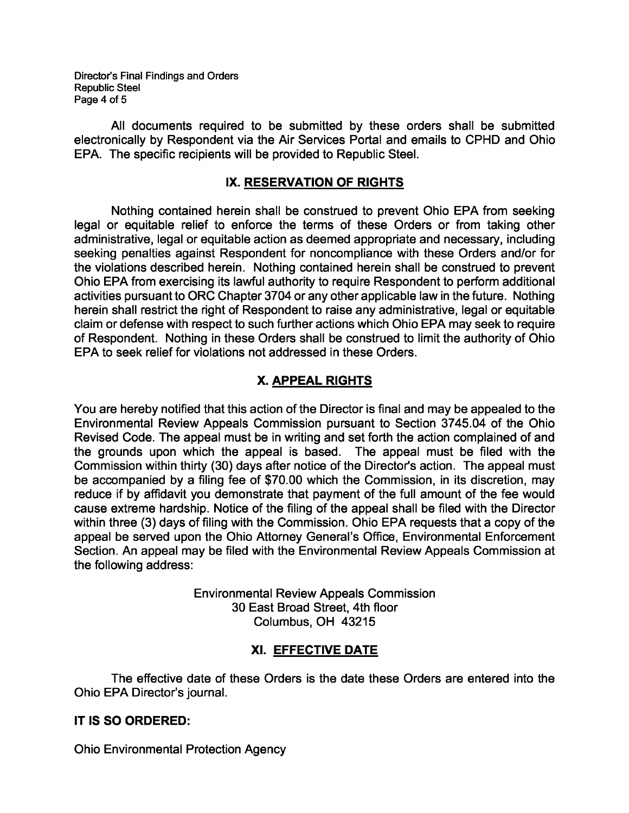Director's Final Findings and Orders Republic Steel Page 4 of 5

All documents required to be submitted by these orders shall be submitted electronically by Respondent via the Air Services Portal and emails to CPHD and Ohio EPA. The specific recipients will be provided to Republic Steel.

## **IX. RESERVATION OF RIGHTS**

Nothing contained herein shall be construed to prevent Ohio EPA from seeking legal or equitable relief to enforce the terms of these Orders or from taking other administrative, legal or equitable action as deemed appropriate and necessary, including seeking penalties against Respondent for noncompliance with these Orders and/or for the violations described herein. Nothing contained herein shall be construed to prevent Ohio EPA from exercising its lawful authority to require Respondent to perform additional activities pursuant to ORC Chapter 3704 or any other applicable law in the future. Nothing herein shall restrict the right of Respondent to raise any administrative, legal or equitable claim or defense with respect to such further actions which Ohio EPA may seek to require of Respondent. Nothing in these Orders shall be construed to limit the authority of Ohio EPA to seek relief for violations not addressed in these Orders.

# **X. APPEAL RIGHTS**

You are hereby notified that this action of the Director is final and may be appealed to the Environmental Review Appeals Commission pursuant to Section 3745.04 of the Ohio Revised Code. The appeal must be in writing and set forth the action complained of and the grounds upon which the appeal is based. The appeal must be filed with the Commission within thirty (30) days after notice of the Director's action. The appeal must be accompanied by a filing fee of \$70.00 which the Commission, in its discretion, may reduce if by affidavit you demonstrate that payment of the full amount of the fee would cause extreme hardship. Notice of the filing of the appeal shall be filed with the Director within three (3) days of filing with the Commission. Ohio EPA requests that a copy of the appeal be served upon the Ohio Attorney General's Office, Environmental Enforcement Section. An appeal may be filed with the Environmental Review Appeals Commission at the following address:

> Environmental Review Appeals Commission 30 East Broad Street, 4th floor Columbus, OH 43215

# **XI. EFFECTIVE DATE**

The effective date of these Orders is the date these Orders are entered into the Ohio EPA Director's journal.

### **IT IS SO ORDERED:**

Ohio Environmental Protection Agency